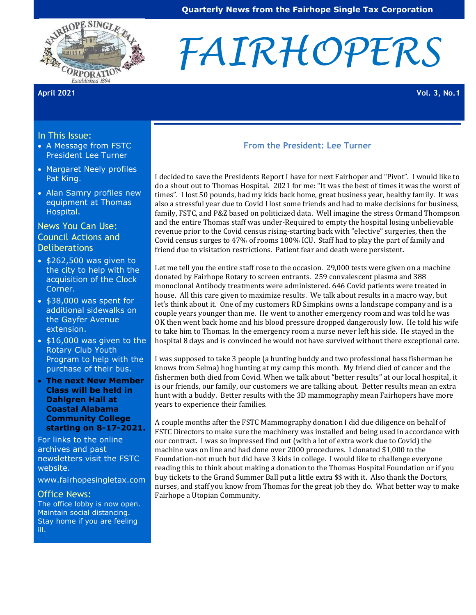

# *FAIRHOPERS*

#### In This Issue:

- A Message from FSTC President Lee Turner
- Margaret Neely profiles Pat King.
- Alan Samry profiles new equipment at Thomas Hospital.

# News You Can Use: Council Actions and **Deliberations**

- \$262,500 was given to the city to help with the acquisition of the Clock Corner.
- \$38,000 was spent for additional sidewalks on the Gayfer Avenue extension.
- \$16,000 was given to the Rotary Club Youth Program to help with the purchase of their bus.
- **The next New Member Class will be held in Dahlgren Hall at Coastal Alabama Community College starting on 8-17-2021.**

For links to the online archives and past newsletters visit the FSTC website.

[www.fairhopesingletax.com](http://www.fairhopesingletax.com/)

#### Office News:

The office lobby is now open. Maintain social distancing. Stay home if you are feeling ill.

#### **From the President: Lee Turner**

I decided to save the Presidents Report I have for next Fairhoper and "Pivot". I would like to do a shout out to Thomas Hospital. 2021 for me: "It was the best of times it was the worst of times". I lost 50 pounds, had my kids back home, great business year, healthy family. It was also a stressful year due to Covid I lost some friends and had to make decisions for business, family, FSTC, and P&Z based on politicized data. Well imagine the stress Ormand Thompson and the entire Thomas staff was under-Required to empty the hospital losing unbelievable revenue prior to the Covid census rising-starting back with "elective" surgeries, then the Covid census surges to 47% of rooms 100% ICU. Staff had to play the part of family and friend due to visitation restrictions. Patient fear and death were persistent.

Let me tell you the entire staff rose to the occasion. 29,000 tests were given on a machine donated by Fairhope Rotary to screen entrants. 259 convalescent plasma and 388 monoclonal Antibody treatments were administered. 646 Covid patients were treated in house. All this care given to maximize results. We talk about results in a macro way, but let's think about it. One of my customers RD Simpkins owns a landscape company and is a couple years younger than me. He went to another emergency room and was told he was OK then went back home and his blood pressure dropped dangerously low. He told his wife to take him to Thomas. In the emergency room a nurse never left his side. He stayed in the hospital 8 days and is convinced he would not have survived without there exceptional care.

I was supposed to take 3 people (a hunting buddy and two professional bass fisherman he knows from Selma) hog hunting at my camp this month. My friend died of cancer and the fishermen both died from Covid. When we talk about "better results" at our local hospital, it is our friends, our family, our customers we are talking about. Better results mean an extra hunt with a buddy. Better results with the 3D mammography mean Fairhopers have more years to experience their families.

A couple months after the FSTC Mammography donation I did due diligence on behalf of FSTC Directors to make sure the machinery was installed and being used in accordance with our contract. I was so impressed find out (with a lot of extra work due to Covid) the machine was on line and had done over 2000 procedures. I donated \$1,000 to the Foundation-not much but did have 3 kids in college. I would like to challenge everyone reading this to think about making a donation to the Thomas Hospital Foundation or if you buy tickets to the Grand Summer Ball put a little extra \$\$ with it. Also thank the Doctors, nurses, and staff you know from Thomas for the great job they do. What better way to make Fairhope a Utopian Community.